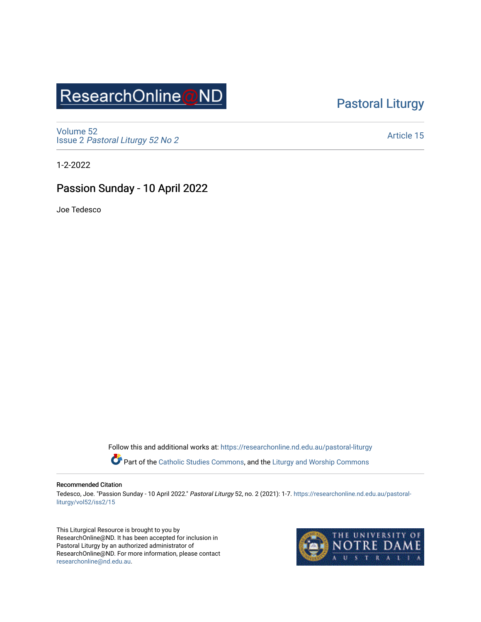# ResearchOnline@ND

### [Pastoral Liturgy](https://researchonline.nd.edu.au/pastoral-liturgy)

[Volume 52](https://researchonline.nd.edu.au/pastoral-liturgy/vol52) Issue 2 [Pastoral Liturgy 52 No 2](https://researchonline.nd.edu.au/pastoral-liturgy/vol52/iss2)

[Article 15](https://researchonline.nd.edu.au/pastoral-liturgy/vol52/iss2/15) 

1-2-2022

### Passion Sunday - 10 April 2022

Joe Tedesco

Follow this and additional works at: [https://researchonline.nd.edu.au/pastoral-liturgy](https://researchonline.nd.edu.au/pastoral-liturgy?utm_source=researchonline.nd.edu.au%2Fpastoral-liturgy%2Fvol52%2Fiss2%2F15&utm_medium=PDF&utm_campaign=PDFCoverPages)

Part of the [Catholic Studies Commons,](http://network.bepress.com/hgg/discipline/1294?utm_source=researchonline.nd.edu.au%2Fpastoral-liturgy%2Fvol52%2Fiss2%2F15&utm_medium=PDF&utm_campaign=PDFCoverPages) and the Liturgy and Worship Commons

#### Recommended Citation

Tedesco, Joe. "Passion Sunday - 10 April 2022." Pastoral Liturgy 52, no. 2 (2021): 1-7. [https://researchonline.nd.edu.au/pastoral](https://researchonline.nd.edu.au/pastoral-liturgy/vol52/iss2/15?utm_source=researchonline.nd.edu.au%2Fpastoral-liturgy%2Fvol52%2Fiss2%2F15&utm_medium=PDF&utm_campaign=PDFCoverPages)[liturgy/vol52/iss2/15](https://researchonline.nd.edu.au/pastoral-liturgy/vol52/iss2/15?utm_source=researchonline.nd.edu.au%2Fpastoral-liturgy%2Fvol52%2Fiss2%2F15&utm_medium=PDF&utm_campaign=PDFCoverPages) 

This Liturgical Resource is brought to you by ResearchOnline@ND. It has been accepted for inclusion in Pastoral Liturgy by an authorized administrator of ResearchOnline@ND. For more information, please contact [researchonline@nd.edu.au.](mailto:researchonline@nd.edu.au)

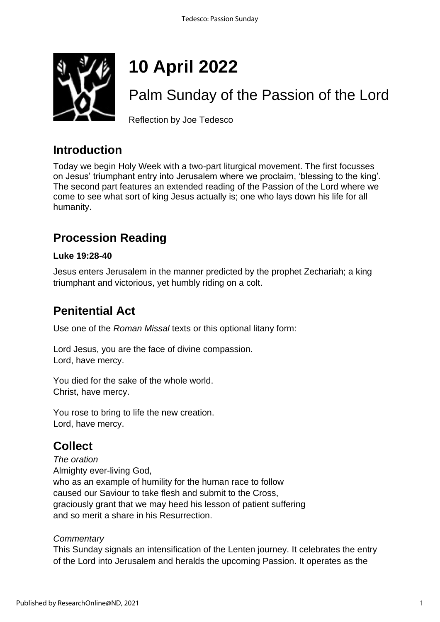

# **10 April 2022**

# Palm Sunday of the Passion of the Lord

Reflection by Joe Tedesco

### **Introduction**

Today we begin Holy Week with a two-part liturgical movement. The first focusses on Jesus' triumphant entry into Jerusalem where we proclaim, 'blessing to the king'. The second part features an extended reading of the Passion of the Lord where we come to see what sort of king Jesus actually is; one who lays down his life for all humanity.

### **Procession Reading**

### **Luke 19:28-40**

Jesus enters Jerusalem in the manner predicted by the prophet Zechariah; a king triumphant and victorious, yet humbly riding on a colt.

### **Penitential Act**

Use one of the *Roman Missal* texts or this optional litany form:

Lord Jesus, you are the face of divine compassion. Lord, have mercy.

You died for the sake of the whole world. Christ, have mercy.

You rose to bring to life the new creation. Lord, have mercy.

### **Collect**

*The oration* Almighty ever-living God, who as an example of humility for the human race to follow caused our Saviour to take flesh and submit to the Cross, graciously grant that we may heed his lesson of patient suffering and so merit a share in his Resurrection.

### *Commentary*

This Sunday signals an intensification of the Lenten journey. It celebrates the entry of the Lord into Jerusalem and heralds the upcoming Passion. It operates as the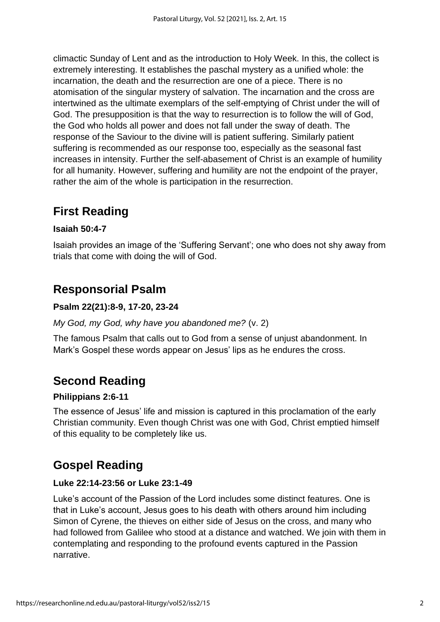climactic Sunday of Lent and as the introduction to Holy Week. In this, the collect is extremely interesting. It establishes the paschal mystery as a unified whole: the incarnation, the death and the resurrection are one of a piece. There is no atomisation of the singular mystery of salvation. The incarnation and the cross are intertwined as the ultimate exemplars of the self-emptying of Christ under the will of God. The presupposition is that the way to resurrection is to follow the will of God, the God who holds all power and does not fall under the sway of death. The response of the Saviour to the divine will is patient suffering. Similarly patient suffering is recommended as our response too, especially as the seasonal fast increases in intensity. Further the self-abasement of Christ is an example of humility for all humanity. However, suffering and humility are not the endpoint of the prayer, rather the aim of the whole is participation in the resurrection.

### **First Reading**

### **Isaiah 50:4-7**

Isaiah provides an image of the 'Suffering Servant'; one who does not shy away from trials that come with doing the will of God.

### **Responsorial Psalm**

### **Psalm 22(21):8-9, 17-20, 23-24**

### *My God, my God, why have you abandoned me?* (v. 2)

The famous Psalm that calls out to God from a sense of unjust abandonment. In Mark's Gospel these words appear on Jesus' lips as he endures the cross.

### **Second Reading**

### **Philippians 2:6-11**

The essence of Jesus' life and mission is captured in this proclamation of the early Christian community. Even though Christ was one with God, Christ emptied himself of this equality to be completely like us.

### **Gospel Reading**

### **Luke 22:14-23:56 or Luke 23:1-49**

Luke's account of the Passion of the Lord includes some distinct features. One is that in Luke's account, Jesus goes to his death with others around him including Simon of Cyrene, the thieves on either side of Jesus on the cross, and many who had followed from Galilee who stood at a distance and watched. We join with them in contemplating and responding to the profound events captured in the Passion narrative.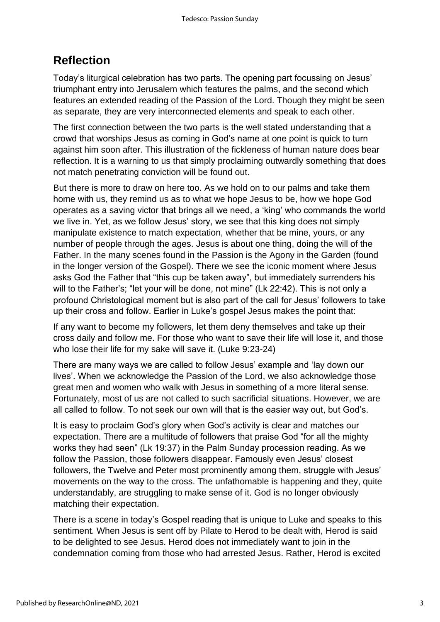### **Reflection**

Today's liturgical celebration has two parts. The opening part focussing on Jesus' triumphant entry into Jerusalem which features the palms, and the second which features an extended reading of the Passion of the Lord. Though they might be seen as separate, they are very interconnected elements and speak to each other.

The first connection between the two parts is the well stated understanding that a crowd that worships Jesus as coming in God's name at one point is quick to turn against him soon after. This illustration of the fickleness of human nature does bear reflection. It is a warning to us that simply proclaiming outwardly something that does not match penetrating conviction will be found out.

But there is more to draw on here too. As we hold on to our palms and take them home with us, they remind us as to what we hope Jesus to be, how we hope God operates as a saving victor that brings all we need, a 'king' who commands the world we live in. Yet, as we follow Jesus' story, we see that this king does not simply manipulate existence to match expectation, whether that be mine, yours, or any number of people through the ages. Jesus is about one thing, doing the will of the Father. In the many scenes found in the Passion is the Agony in the Garden (found in the longer version of the Gospel). There we see the iconic moment where Jesus asks God the Father that "this cup be taken away", but immediately surrenders his will to the Father's; "let your will be done, not mine" (Lk 22:42). This is not only a profound Christological moment but is also part of the call for Jesus' followers to take up their cross and follow. Earlier in Luke's gospel Jesus makes the point that:

If any want to become my followers, let them deny themselves and take up their cross daily and follow me. For those who want to save their life will lose it, and those who lose their life for my sake will save it. (Luke 9:23-24)

There are many ways we are called to follow Jesus' example and 'lay down our lives'. When we acknowledge the Passion of the Lord, we also acknowledge those great men and women who walk with Jesus in something of a more literal sense. Fortunately, most of us are not called to such sacrificial situations. However, we are all called to follow. To not seek our own will that is the easier way out, but God's.

It is easy to proclaim God's glory when God's activity is clear and matches our expectation. There are a multitude of followers that praise God "for all the mighty works they had seen" (Lk 19:37) in the Palm Sunday procession reading. As we follow the Passion, those followers disappear. Famously even Jesus' closest followers, the Twelve and Peter most prominently among them, struggle with Jesus' movements on the way to the cross. The unfathomable is happening and they, quite understandably, are struggling to make sense of it. God is no longer obviously matching their expectation.

There is a scene in today's Gospel reading that is unique to Luke and speaks to this sentiment. When Jesus is sent off by Pilate to Herod to be dealt with, Herod is said to be delighted to see Jesus. Herod does not immediately want to join in the condemnation coming from those who had arrested Jesus. Rather, Herod is excited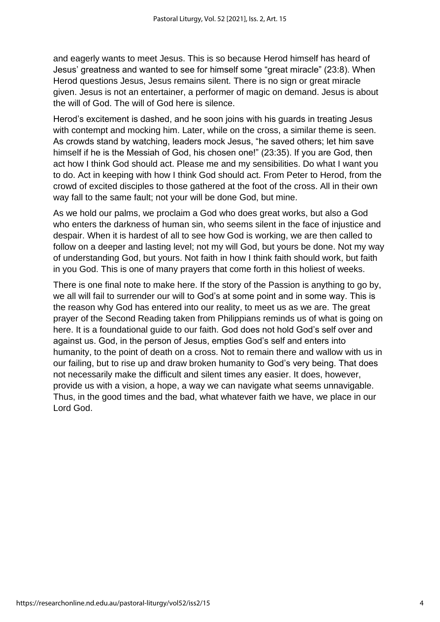and eagerly wants to meet Jesus. This is so because Herod himself has heard of Jesus' greatness and wanted to see for himself some "great miracle" (23:8). When Herod questions Jesus, Jesus remains silent. There is no sign or great miracle given. Jesus is not an entertainer, a performer of magic on demand. Jesus is about the will of God. The will of God here is silence.

Herod's excitement is dashed, and he soon joins with his guards in treating Jesus with contempt and mocking him. Later, while on the cross, a similar theme is seen. As crowds stand by watching, leaders mock Jesus, "he saved others; let him save himself if he is the Messiah of God, his chosen one!" (23:35). If you are God, then act how I think God should act. Please me and my sensibilities. Do what I want you to do. Act in keeping with how I think God should act. From Peter to Herod, from the crowd of excited disciples to those gathered at the foot of the cross. All in their own way fall to the same fault; not your will be done God, but mine.

As we hold our palms, we proclaim a God who does great works, but also a God who enters the darkness of human sin, who seems silent in the face of injustice and despair. When it is hardest of all to see how God is working, we are then called to follow on a deeper and lasting level; not my will God, but yours be done. Not my way of understanding God, but yours. Not faith in how I think faith should work, but faith in you God. This is one of many prayers that come forth in this holiest of weeks.

There is one final note to make here. If the story of the Passion is anything to go by, we all will fail to surrender our will to God's at some point and in some way. This is the reason why God has entered into our reality, to meet us as we are. The great prayer of the Second Reading taken from Philippians reminds us of what is going on here. It is a foundational guide to our faith. God does not hold God's self over and against us. God, in the person of Jesus, empties God's self and enters into humanity, to the point of death on a cross. Not to remain there and wallow with us in our failing, but to rise up and draw broken humanity to God's very being. That does not necessarily make the difficult and silent times any easier. It does, however, provide us with a vision, a hope, a way we can navigate what seems unnavigable. Thus, in the good times and the bad, what whatever faith we have, we place in our Lord God.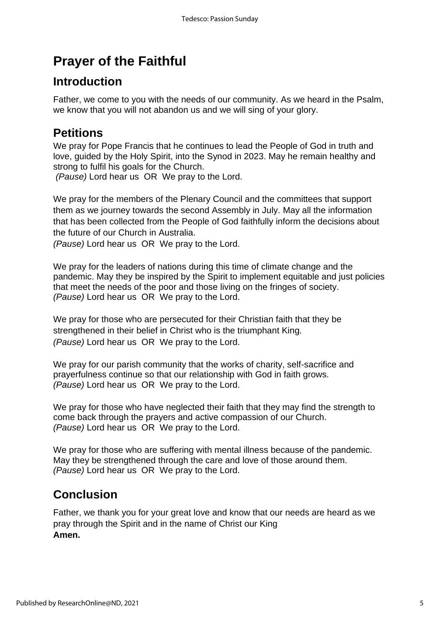## **Prayer of the Faithful**

### **Introduction**

Father, we come to you with the needs of our community. As we heard in the Psalm, we know that you will not abandon us and we will sing of your glory.

### **Petitions**

We pray for Pope Francis that he continues to lead the People of God in truth and love, guided by the Holy Spirit, into the Synod in 2023. May he remain healthy and strong to fulfil his goals for the Church.

*(Pause)* Lord hear us OR We pray to the Lord.

We pray for the members of the Plenary Council and the committees that support them as we journey towards the second Assembly in July. May all the information that has been collected from the People of God faithfully inform the decisions about the future of our Church in Australia.

*(Pause)* Lord hear us OR We pray to the Lord.

We pray for the leaders of nations during this time of climate change and the pandemic. May they be inspired by the Spirit to implement equitable and just policies that meet the needs of the poor and those living on the fringes of society. *(Pause)* Lord hear us OR We pray to the Lord.

We pray for those who are persecuted for their Christian faith that they be strengthened in their belief in Christ who is the triumphant King*. (Pause)* Lord hear us OR We pray to the Lord.

We pray for our parish community that the works of charity, self-sacrifice and prayerfulness continue so that our relationship with God in faith grows. *(Pause)* Lord hear us OR We pray to the Lord.

We pray for those who have neglected their faith that they may find the strength to come back through the prayers and active compassion of our Church. *(Pause)* Lord hear us OR We pray to the Lord.

We pray for those who are suffering with mental illness because of the pandemic. May they be strengthened through the care and love of those around them. *(Pause)* Lord hear us OR We pray to the Lord.

### **Conclusion**

Father, we thank you for your great love and know that our needs are heard as we pray through the Spirit and in the name of Christ our King **Amen.**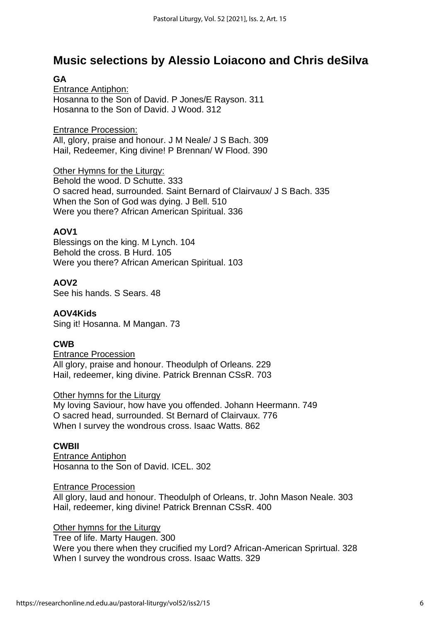### **Music selections by Alessio Loiacono and Chris deSilva**

### **GA**

Entrance Antiphon: Hosanna to the Son of David. P Jones/E Rayson. 311 Hosanna to the Son of David. J Wood. 312

Entrance Procession: All, glory, praise and honour. J M Neale/ J S Bach. 309 Hail, Redeemer, King divine! P Brennan/ W Flood. 390

Other Hymns for the Liturgy: Behold the wood. D Schutte. 333 O sacred head, surrounded. Saint Bernard of Clairvaux/ J S Bach. 335 When the Son of God was dying. J Bell. 510 Were you there? African American Spiritual. 336

#### **AOV1**

Blessings on the king. M Lynch. 104 Behold the cross. B Hurd. 105 Were you there? African American Spiritual. 103

#### **AOV2**

See his hands. S Sears. 48

#### **AOV4Kids**

Sing it! Hosanna. M Mangan. 73

#### **CWB**

Entrance Procession All glory, praise and honour. Theodulph of Orleans. 229 Hail, redeemer, king divine. Patrick Brennan CSsR. 703

#### Other hymns for the Liturgy

My loving Saviour, how have you offended. Johann Heermann. 749 O sacred head, surrounded. St Bernard of Clairvaux. 776 When I survey the wondrous cross. Isaac Watts. 862

#### **CWBII**

Entrance Antiphon Hosanna to the Son of David. ICEL. 302

#### Entrance Procession

All glory, laud and honour. Theodulph of Orleans, tr. John Mason Neale. 303 Hail, redeemer, king divine! Patrick Brennan CSsR. 400

#### Other hymns for the Liturgy

Tree of life. Marty Haugen. 300 Were you there when they crucified my Lord? African-American Sprirtual. 328 When I survey the wondrous cross. Isaac Watts. 329